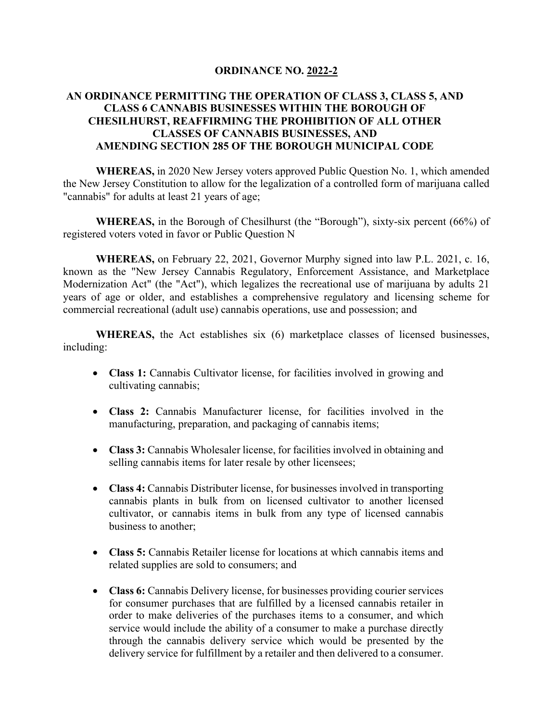## **ORDINANCE NO. 2022-2**

## **AN ORDINANCE PERMITTING THE OPERATION OF CLASS 3, CLASS 5, AND CLASS 6 CANNABIS BUSINESSES WITHIN THE BOROUGH OF CHESILHURST, REAFFIRMING THE PROHIBITION OF ALL OTHER CLASSES OF CANNABIS BUSINESSES, AND AMENDING SECTION 285 OF THE BOROUGH MUNICIPAL CODE**

**WHEREAS,** in 2020 New Jersey voters approved Public Question No. 1, which amended the New Jersey Constitution to allow for the legalization of a controlled form of marijuana called "cannabis" for adults at least 21 years of age;

**WHEREAS,** in the Borough of Chesilhurst (the "Borough"), sixty-six percent (66%) of registered voters voted in favor or Public Question N

**WHEREAS,** on February 22, 2021, Governor Murphy signed into law P.L. 2021, c. 16, known as the "New Jersey Cannabis Regulatory, Enforcement Assistance, and Marketplace Modernization Act" (the "Act"), which legalizes the recreational use of marijuana by adults 21 years of age or older, and establishes a comprehensive regulatory and licensing scheme for commercial recreational (adult use) cannabis operations, use and possession; and

**WHEREAS,** the Act establishes six (6) marketplace classes of licensed businesses, including:

- **Class 1:** Cannabis Cultivator license, for facilities involved in growing and cultivating cannabis;
- **Class 2:** Cannabis Manufacturer license, for facilities involved in the manufacturing, preparation, and packaging of cannabis items;
- **Class 3:** Cannabis Wholesaler license, for facilities involved in obtaining and selling cannabis items for later resale by other licensees;
- **Class 4:** Cannabis Distributer license, for businesses involved in transporting cannabis plants in bulk from on licensed cultivator to another licensed cultivator, or cannabis items in bulk from any type of licensed cannabis business to another;
- **Class 5:** Cannabis Retailer license for locations at which cannabis items and related supplies are sold to consumers; and
- **Class 6:** Cannabis Delivery license, for businesses providing courier services for consumer purchases that are fulfilled by a licensed cannabis retailer in order to make deliveries of the purchases items to a consumer, and which service would include the ability of a consumer to make a purchase directly through the cannabis delivery service which would be presented by the delivery service for fulfillment by a retailer and then delivered to a consumer.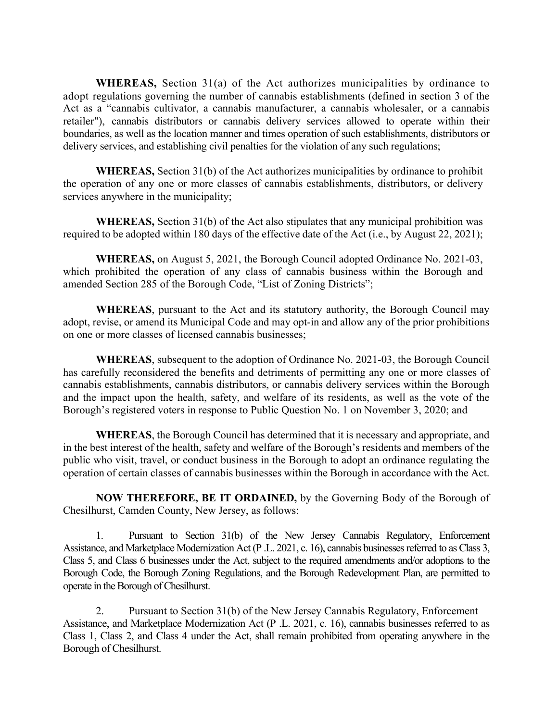**WHEREAS,** Section 31(a) of the Act authorizes municipalities by ordinance to adopt regulations governing the number of cannabis establishments (defined in section 3 of the Act as a "cannabis cultivator, a cannabis manufacturer, a cannabis wholesaler, or a cannabis retailer"), cannabis distributors or cannabis delivery services allowed to operate within their boundaries, as well as the location manner and times operation of such establishments, distributors or delivery services, and establishing civil penalties for the violation of any such regulations;

**WHEREAS,** Section 31(b) of the Act authorizes municipalities by ordinance to prohibit the operation of any one or more classes of cannabis establishments, distributors, or delivery services anywhere in the municipality;

**WHEREAS,** Section 31(b) of the Act also stipulates that any municipal prohibition was required to be adopted within 180 days of the effective date of the Act (i.e., by August 22, 2021);

**WHEREAS,** on August 5, 2021, the Borough Council adopted Ordinance No. 2021-03, which prohibited the operation of any class of cannabis business within the Borough and amended Section 285 of the Borough Code, "List of Zoning Districts";

**WHEREAS**, pursuant to the Act and its statutory authority, the Borough Council may adopt, revise, or amend its Municipal Code and may opt-in and allow any of the prior prohibitions on one or more classes of licensed cannabis businesses;

**WHEREAS**, subsequent to the adoption of Ordinance No. 2021-03, the Borough Council has carefully reconsidered the benefits and detriments of permitting any one or more classes of cannabis establishments, cannabis distributors, or cannabis delivery services within the Borough and the impact upon the health, safety, and welfare of its residents, as well as the vote of the Borough's registered voters in response to Public Question No. 1 on November 3, 2020; and

**WHEREAS**, the Borough Council has determined that it is necessary and appropriate, and in the best interest of the health, safety and welfare of the Borough's residents and members of the public who visit, travel, or conduct business in the Borough to adopt an ordinance regulating the operation of certain classes of cannabis businesses within the Borough in accordance with the Act.

**NOW THEREFORE, BE IT ORDAINED,** by the Governing Body of the Borough of Chesilhurst, Camden County, New Jersey, as follows:

1. Pursuant to Section 31(b) of the New Jersey Cannabis Regulatory, Enforcement Assistance, and Marketplace Modernization Act (P .L. 2021, c. 16), cannabis businesses referred to as Class 3, Class 5, and Class 6 businesses under the Act, subject to the required amendments and/or adoptions to the Borough Code, the Borough Zoning Regulations, and the Borough Redevelopment Plan, are permitted to operate in the Borough of Chesilhurst.

2. Pursuant to Section 31(b) of the New Jersey Cannabis Regulatory, Enforcement Assistance, and Marketplace Modernization Act (P .L. 2021, c. 16), cannabis businesses referred to as Class 1, Class 2, and Class 4 under the Act, shall remain prohibited from operating anywhere in the Borough of Chesilhurst.